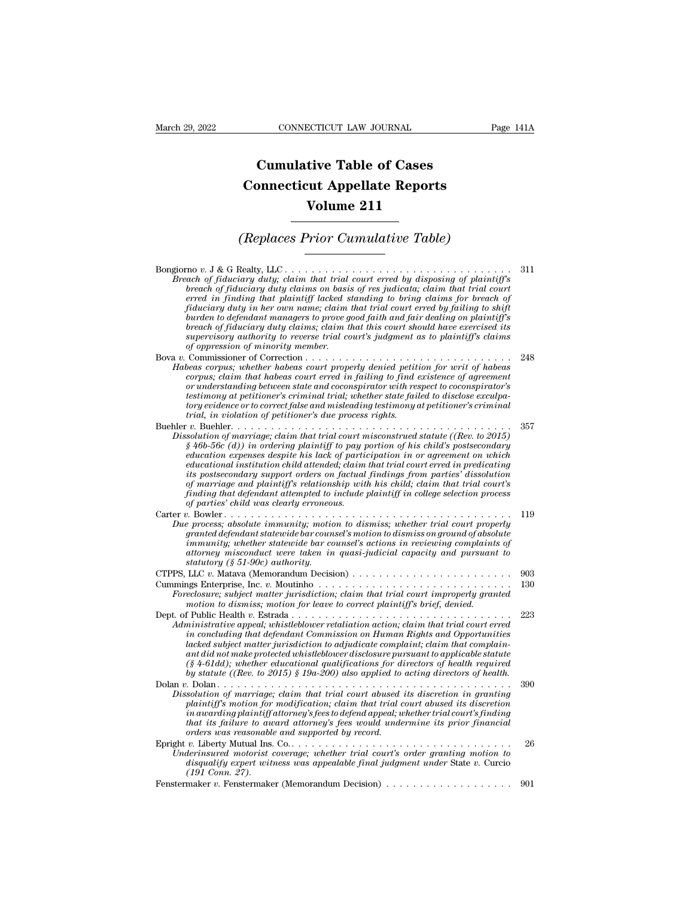## **CONNECTICUT LAW JOURNAL**<br> **Cumulative Table of Cases<br>
pnnecticut Appellate Reports CONNECTICUT LAW JOURNAL** Pag<br> **Cumulative Table of Cases**<br> **Connecticut Appellate Reports**<br> **Volume 211 CONNECTICUT LAW JOURNAL**<br> **Cumulative Table of Cases**<br> **Connecticut Appellate Reports<br>
Volume 211 Cumulative Table of Cases<br>
Connecticut Appellate Reports<br>
Volume 211<br>
(Replaces Prior Cumulative Table)**

| Volume 211                                                                                                                                                                                                                                                                                                                                                                                                                                                                                                                                                                                                                                                  |     |
|-------------------------------------------------------------------------------------------------------------------------------------------------------------------------------------------------------------------------------------------------------------------------------------------------------------------------------------------------------------------------------------------------------------------------------------------------------------------------------------------------------------------------------------------------------------------------------------------------------------------------------------------------------------|-----|
| (Replaces Prior Cumulative Table)                                                                                                                                                                                                                                                                                                                                                                                                                                                                                                                                                                                                                           |     |
| Breach of fiduciary duty; claim that trial court erred by disposing of plaintiff's<br>breach of fiduciary duty claims on basis of res judicata; claim that trial court<br>erred in finding that plaintiff lacked standing to bring claims for breach of<br>fiduciary duty in her own name; claim that trial court erred by failing to shift<br>burden to defendant managers to prove good faith and fair dealing on plaintiff's<br>breach of fiduciary duty claims; claim that this court should have exercised its<br>supervisory authority to reverse trial court's judgment as to plaintiff's claims<br>of oppression of minority member.                | 311 |
| Habeas corpus; whether habeas court properly denied petition for writ of habeas<br>corpus; claim that habeas court erred in failing to find existence of agreement<br>or understanding between state and coconspirator with respect to coconspirator's<br>testimony at petitioner's criminal trial; whether state failed to disclose exculpa-<br>tory evidence or to correct false and misleading testimony at petitioner's criminal<br>trial, in violation of petitioner's due process rights.                                                                                                                                                             | 248 |
| Dissolution of marriage; claim that trial court misconstrued statute ((Rev. to 2015)<br>$§$ 46b-56c (d)) in ordering plaintiff to pay portion of his child's postsecondary<br>education expenses despite his lack of participation in or agreement on which<br>educational institution child attended; claim that trial court erred in predicating<br>its postsecondary support orders on factual findings from parties' dissolution<br>of marriage and plaintiff's relationship with his child; claim that trial court's<br>finding that defendant attempted to include plaintiff in college selection process<br>of parties' child was clearly erroneous. | 357 |
| Due process; absolute immunity; motion to dismiss; whether trial court properly<br>granted defendant statewide bar counsel's motion to dismiss on ground of absolute<br>immunity; whether statewide bar counsel's actions in reviewing complaints of<br>attorney misconduct were taken in quasi-judicial capacity and pursuant to<br>statutory (§ 51-90c) authority.                                                                                                                                                                                                                                                                                        | 119 |
|                                                                                                                                                                                                                                                                                                                                                                                                                                                                                                                                                                                                                                                             | 903 |
| Foreclosure; subject matter jurisdiction; claim that trial court improperly granted<br>motion to dismiss; motion for leave to correct plaintiff's brief, denied.                                                                                                                                                                                                                                                                                                                                                                                                                                                                                            | 130 |
| Administrative appeal; whistleblower retaliation action; claim that trial court erred<br>in concluding that defendant Commission on Human Rights and Opportunities<br>lacked subject matter jurisdiction to adjudicate complaint; claim that complain-<br>ant did not make protected whistleblower disclosure pursuant to applicable statute<br>$(\S 4\text{-}61dd)$ ; whether educational qualifications for directors of health required<br>by statute ((Rev. to 2015) § 19a-200) also applied to acting directors of health.                                                                                                                             | 223 |
| Dissolution of marriage; claim that trial court abused its discretion in granting<br>plaintiff's motion for modification; claim that trial court abused its discretion<br>in awarding plaintiff attorney's fees to defend appeal; whether trial court's finding<br>that its failure to award attorney's fees would undermine its prior financial<br>orders was reasonable and supported by record.                                                                                                                                                                                                                                                          | 390 |
| Underinsured motorist coverage; whether trial court's order granting motion to<br>disqualify expert witness was appealable final judgment under State v. Curcio<br>$(191 \; \textit{Conn. } 27).$                                                                                                                                                                                                                                                                                                                                                                                                                                                           | 26  |
|                                                                                                                                                                                                                                                                                                                                                                                                                                                                                                                                                                                                                                                             | 901 |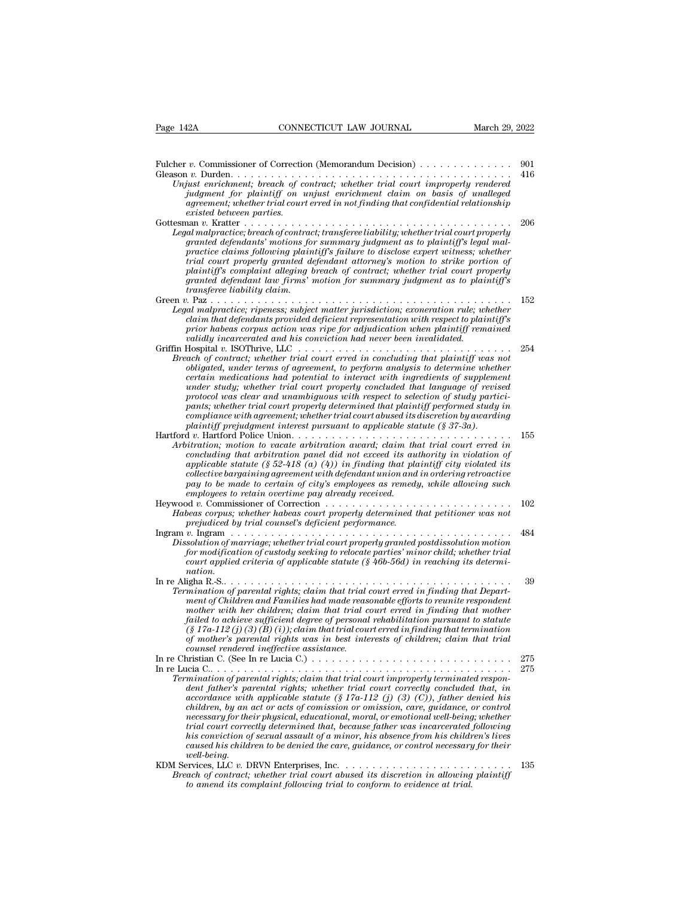| CONNECTICUT LAW JOURNAL<br>March 29, 2022<br>Page 142A                                                                                                                                                                                                                                                                                                                                                                                                                                                                                                                                                                                                                                                             |            |
|--------------------------------------------------------------------------------------------------------------------------------------------------------------------------------------------------------------------------------------------------------------------------------------------------------------------------------------------------------------------------------------------------------------------------------------------------------------------------------------------------------------------------------------------------------------------------------------------------------------------------------------------------------------------------------------------------------------------|------------|
|                                                                                                                                                                                                                                                                                                                                                                                                                                                                                                                                                                                                                                                                                                                    |            |
| Unjust enrichment; breach of contract; whether trial court improperly rendered<br>judgment for plaintiff on unjust enrichment claim on basis of unalleged<br>agreement; whether trial court erred in not finding that confidential relationship<br>existed between parties.                                                                                                                                                                                                                                                                                                                                                                                                                                        | 901<br>416 |
| Legal malpractice; breach of contract; transferee liability; whether trial court properly<br>granted defendants' motions for summary judgment as to plaintiff's legal mal-<br>practice claims following plaintiff's failure to disclose expert witness; whether<br>trial court properly granted defendant attorney's motion to strike portion of<br>plaintiff's complaint alleging breach of contract; whether trial court properly<br>granted defendant law firms' motion for summary judgment as to plaintiff's<br>transferee liability claim.                                                                                                                                                                   | 206        |
|                                                                                                                                                                                                                                                                                                                                                                                                                                                                                                                                                                                                                                                                                                                    | 152        |
| Legal malpractice; ripeness; subject matter jurisdiction; exoneration rule; whether<br>claim that defendants provided deficient representation with respect to plaintiff's<br>prior habeas corpus action was ripe for adjudication when plaintiff remained<br>validly incarcerated and his conviction had never been invalidated.                                                                                                                                                                                                                                                                                                                                                                                  |            |
|                                                                                                                                                                                                                                                                                                                                                                                                                                                                                                                                                                                                                                                                                                                    | 254        |
| Breach of contract; whether trial court erred in concluding that plaintiff was not<br>obligated, under terms of agreement, to perform analysis to determine whether<br>certain medications had potential to interact with ingredients of supplement<br>under study; whether trial court properly concluded that language of revised<br>protocol was clear and unambiguous with respect to selection of study partici-<br>pants; whether trial court properly determined that plaintiff performed study in<br>compliance with agreement; whether trial court abused its discretion by awarding<br>plaintiff prejudgment interest pursuant to applicable statute $(\S 37-3a)$ .                                      |            |
| Arbitration; motion to vacate arbitration award; claim that trial court erred in<br>concluding that arbitration panel did not exceed its authority in violation of<br>applicable statute (§ 52-418 (a) (4)) in finding that plaintiff city violated its<br>collective bargaining agreement with defendant union and in ordering retroactive<br>pay to be made to certain of city's employees as remedy, while allowing such<br>employees to retain overtime pay already received.                                                                                                                                                                                                                                  | 155        |
| Heywood v. Commissioner of Correction $\ldots \ldots \ldots \ldots \ldots \ldots \ldots \ldots \ldots \ldots$<br>Habeas corpus; whether habeas court properly determined that petitioner was not<br>prejudiced by trial counsel's deficient performance.                                                                                                                                                                                                                                                                                                                                                                                                                                                           | 102        |
| Dissolution of marriage; whether trial court properly granted postdissolution motion<br>for modification of custody seeking to relocate parties' minor child; whether trial<br>court applied criteria of applicable statute $(\S$ 46b-56d) in reaching its determi-                                                                                                                                                                                                                                                                                                                                                                                                                                                | 484        |
| nation.<br>Termination of parental rights; claim that trial court erred in finding that Depart-<br>ment of Children and Families had made reasonable efforts to reunite respondent<br>mother with her children; claim that trial court erred in finding that mother<br>failed to achieve sufficient degree of personal rehabilitation pursuant to statute<br>$(\S 17a-112(j)(3)(B(i))$ ; claim that trial court erred in finding that termination<br>of mother's parental rights was in best interests of children; claim that trial<br>counsel rendered ineffective assistance.                                                                                                                                   | 39         |
| In re Christian C. (See In re Lucia C.) $\ldots \ldots \ldots \ldots \ldots \ldots \ldots \ldots \ldots \ldots$                                                                                                                                                                                                                                                                                                                                                                                                                                                                                                                                                                                                    | 275        |
| Termination of parental rights; claim that trial court improperly terminated respon-<br>dent father's parental rights; whether trial court correctly concluded that, in<br>accordance with applicable statute (§ 17a-112 (j) (3) (C)), father denied his<br>children, by an act or acts of comission or omission, care, guidance, or control<br>necessary for their physical, educational, moral, or emotional well-being; whether<br>trial court correctly determined that, because father was incarcerated following<br>his conviction of sexual assault of a minor, his absence from his children's lives<br>caused his children to be denied the care, guidance, or control necessary for their<br>well-being. | 275        |
| Breach of contract; whether trial court abused its discretion in allowing plaintiff<br>to amend its complaint following trial to conform to evidence at trial.                                                                                                                                                                                                                                                                                                                                                                                                                                                                                                                                                     | 135        |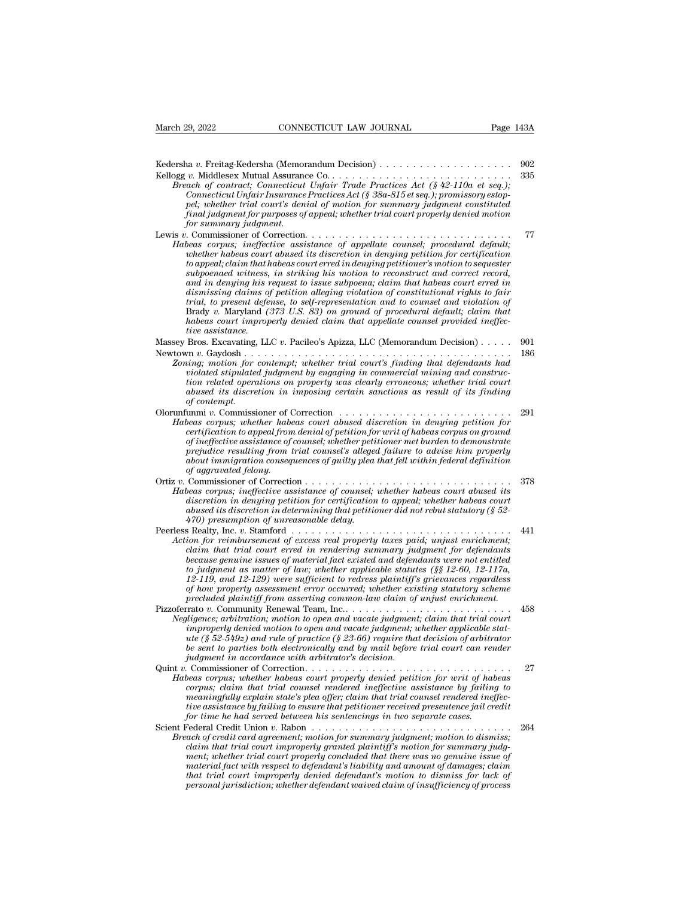| March 29, 2022<br>CONNECTICUT LAW JOURNAL                                                                                                                                                                                                                                                                                                                                                                                                                                                                                                                                                                                                                                                                                                                                                    | Page 143A  |
|----------------------------------------------------------------------------------------------------------------------------------------------------------------------------------------------------------------------------------------------------------------------------------------------------------------------------------------------------------------------------------------------------------------------------------------------------------------------------------------------------------------------------------------------------------------------------------------------------------------------------------------------------------------------------------------------------------------------------------------------------------------------------------------------|------------|
| Breach of contract; Connecticut Unfair Trade Practices Act $(\frac{242-110a}{160})$ et seq.);<br>Connecticut Unfair Insurance Practices Act (§ 38a-815 et seq.); promissory estop-<br>pel; whether trial court's denial of motion for summary judgment constituted<br>final judgment for purposes of appeal; whether trial court properly denied motion<br>for summary judgment.                                                                                                                                                                                                                                                                                                                                                                                                             | 902<br>335 |
| Habeas corpus; ineffective assistance of appellate counsel; procedural default;<br>whether habeas court abused its discretion in denying petition for certification<br>to appeal; claim that habeas court erred in denying petitioner's motion to sequester<br>subpoenaed witness, in striking his motion to reconstruct and correct record,<br>and in denying his request to issue subpoena; claim that habeas court erred in<br>dismissing claims of petition alleging violation of constitutional rights to fair<br>trial, to present defense, to self-representation and to counsel and violation of<br>Brady v. Maryland (373 U.S. 83) on ground of procedural default; claim that<br>habeas court improperly denied claim that appellate counsel provided ineffec-<br>tive assistance. | 77         |
| Massey Bros. Excavating, LLC v. Pacileo's Apizza, LLC (Memorandum Decision)<br>Zoning; motion for contempt; whether trial court's finding that defendants had<br>violated stipulated judgment by engaging in commercial mining and construc-<br>tion related operations on property was clearly erroneous; whether trial court<br>abused its discretion in imposing certain sanctions as result of its finding<br>of contempt.                                                                                                                                                                                                                                                                                                                                                               | 901<br>186 |
| Habeas corpus; whether habeas court abused discretion in denying petition for<br>certification to appeal from denial of petition for writ of habeas corpus on ground<br>of ineffective assistance of counsel; whether petitioner met burden to demonstrate<br>prejudice resulting from trial counsel's alleged failure to advise him properly<br>about immigration consequences of guilty plea that fell within federal definition<br>of aggravated felony.                                                                                                                                                                                                                                                                                                                                  | 291        |
| Habeas corpus; ineffective assistance of counsel; whether habeas court abused its<br>discretion in denying petition for certification to appeal; whether habeas court<br>abused its discretion in determining that petitioner did not rebut statutory (§ $52-$<br>470) presumption of unreasonable delay.                                                                                                                                                                                                                                                                                                                                                                                                                                                                                    | 378        |
| Action for reimbursement of excess real property taxes paid; unjust enrichment;<br>claim that trial court erred in rendering summary judgment for defendants<br>because genuine issues of material fact existed and defendants were not entitled<br>to judgment as matter of law; whether applicable statutes (§§ 12-60, 12-117a,<br>12-119, and 12-129) were sufficient to redress plaintiff's grievances regardless<br>of how property assessment error occurred; whether existing statutory scheme<br>precluded plaintiff from asserting common-law claim of unjust enrichment.                                                                                                                                                                                                           | 441        |
| Pizzoferrato v. Community Renewal Team, Inc<br>Negligence; arbitration; motion to open and vacate judgment; claim that trial court<br>improperly denied motion to open and vacate judgment; whether applicable stat-<br>ute (§ 52-549 $z$ ) and rule of practice (§ 23-66) require that decision of arbitrator<br>be sent to parties both electronically and by mail before trial court can render<br>judgment in accordance with arbitrator's decision.                                                                                                                                                                                                                                                                                                                                     | 458        |
| Quint $v$ . Commissioner of Correction.<br>Habeas corpus; whether habeas court properly denied petition for writ of habeas<br>corpus; claim that trial counsel rendered ineffective assistance by failing to<br>meaningfully explain state's plea offer; claim that trial counsel rendered ineffec-<br>tive assistance by failing to ensure that petitioner received presentence jail credit<br>for time he had served between his sentencings in two separate cases.                                                                                                                                                                                                                                                                                                                        | 27         |
| Breach of credit card agreement; motion for summary judgment; motion to dismiss;<br>claim that trial court improperly granted plaintiff's motion for summary judg-<br>ment; whether trial court properly concluded that there was no genuine issue of<br>material fact with respect to defendant's liability and amount of damages; claim<br>that trial court improperly denied defendant's motion to dismiss for lack of<br>personal jurisdiction; whether defendant waived claim of insufficiency of process                                                                                                                                                                                                                                                                               | 264        |